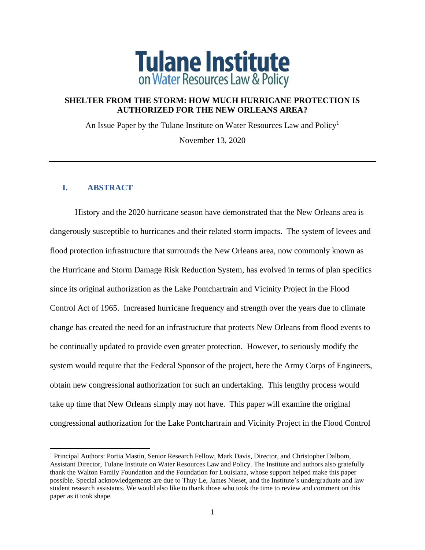

## **SHELTER FROM THE STORM: HOW MUCH HURRICANE PROTECTION IS AUTHORIZED FOR THE NEW ORLEANS AREA?**

An Issue Paper by the Tulane Institute on Water Resources Law and Policy<sup>1</sup>

November 13, 2020

### **I. ABSTRACT**

History and the 2020 hurricane season have demonstrated that the New Orleans area is dangerously susceptible to hurricanes and their related storm impacts. The system of levees and flood protection infrastructure that surrounds the New Orleans area, now commonly known as the Hurricane and Storm Damage Risk Reduction System, has evolved in terms of plan specifics since its original authorization as the Lake Pontchartrain and Vicinity Project in the Flood Control Act of 1965. Increased hurricane frequency and strength over the years due to climate change has created the need for an infrastructure that protects New Orleans from flood events to be continually updated to provide even greater protection. However, to seriously modify the system would require that the Federal Sponsor of the project, here the Army Corps of Engineers, obtain new congressional authorization for such an undertaking. This lengthy process would take up time that New Orleans simply may not have. This paper will examine the original congressional authorization for the Lake Pontchartrain and Vicinity Project in the Flood Control

<sup>&</sup>lt;sup>1</sup> Principal Authors: Portia Mastin, Senior Research Fellow, Mark Davis, Director, and Christopher Dalbom, Assistant Director, Tulane Institute on Water Resources Law and Policy. The Institute and authors also gratefully thank the Walton Family Foundation and the Foundation for Louisiana, whose support helped make this paper possible. Special acknowledgements are due to Thuy Le, James Nieset, and the Institute's undergraduate and law student research assistants. We would also like to thank those who took the time to review and comment on this paper as it took shape.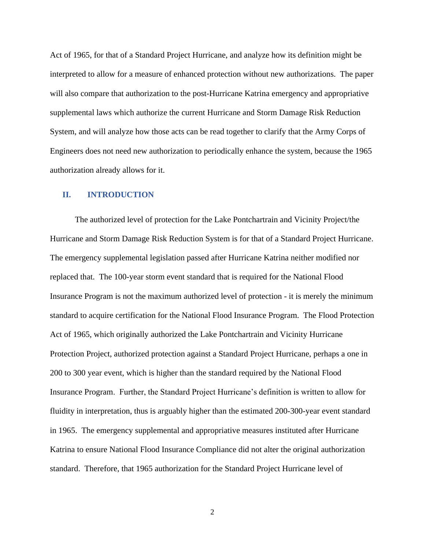Act of 1965, for that of a Standard Project Hurricane, and analyze how its definition might be interpreted to allow for a measure of enhanced protection without new authorizations. The paper will also compare that authorization to the post-Hurricane Katrina emergency and appropriative supplemental laws which authorize the current Hurricane and Storm Damage Risk Reduction System, and will analyze how those acts can be read together to clarify that the Army Corps of Engineers does not need new authorization to periodically enhance the system, because the 1965 authorization already allows for it.

#### **II. INTRODUCTION**

The authorized level of protection for the Lake Pontchartrain and Vicinity Project/the Hurricane and Storm Damage Risk Reduction System is for that of a Standard Project Hurricane. The emergency supplemental legislation passed after Hurricane Katrina neither modified nor replaced that. The 100-year storm event standard that is required for the National Flood Insurance Program is not the maximum authorized level of protection - it is merely the minimum standard to acquire certification for the National Flood Insurance Program. The Flood Protection Act of 1965, which originally authorized the Lake Pontchartrain and Vicinity Hurricane Protection Project, authorized protection against a Standard Project Hurricane, perhaps a one in 200 to 300 year event, which is higher than the standard required by the National Flood Insurance Program. Further, the Standard Project Hurricane's definition is written to allow for fluidity in interpretation, thus is arguably higher than the estimated 200-300-year event standard in 1965. The emergency supplemental and appropriative measures instituted after Hurricane Katrina to ensure National Flood Insurance Compliance did not alter the original authorization standard. Therefore, that 1965 authorization for the Standard Project Hurricane level of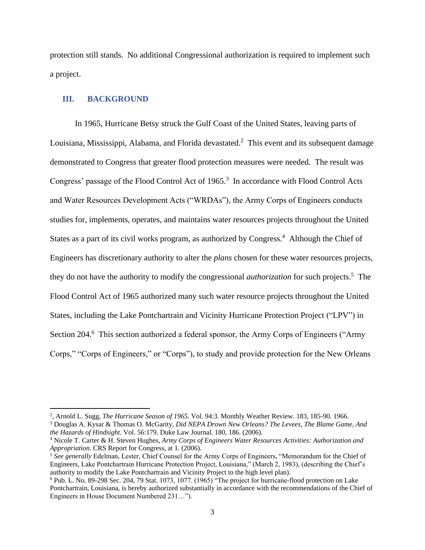protection still stands. No additional Congressional authorization is required to implement such a project.

#### **III. BACKGROUND**

In 1965, Hurricane Betsy struck the Gulf Coast of the United States, leaving parts of Louisiana, Mississippi, Alabama, and Florida devastated.<sup>2</sup> This event and its subsequent damage demonstrated to Congress that greater flood protection measures were needed. The result was Congress' passage of the Flood Control Act of 1965.<sup>3</sup> In accordance with Flood Control Acts and Water Resources Development Acts ("WRDAs"), the Army Corps of Engineers conducts studies for, implements, operates, and maintains water resources projects throughout the United States as a part of its civil works program, as authorized by Congress.<sup>4</sup> Although the Chief of Engineers has discretionary authority to alter the *plans* chosen for these water resources projects, they do not have the authority to modify the congressional *authorization* for such projects.<sup>5</sup> The Flood Control Act of 1965 authorized many such water resource projects throughout the United States, including the Lake Pontchartrain and Vicinity Hurricane Protection Project ("LPV") in Section 204.<sup>6</sup> This section authorized a federal sponsor, the Army Corps of Engineers ("Army Corps," "Corps of Engineers," or "Corps"), to study and provide protection for the New Orleans

<sup>2</sup> , Arnold L. Sugg, *The Hurricane Season of 1965.* Vol. 94:3. Monthly Weather Review. 183, 185-90. 1966.

<sup>3</sup> Douglas A. Kysar & Thomas O. McGarity, *Did NEPA Drown New Orleans? The Levees, The Blame Game, And the Hazards of Hindsight*. Vol. 56:179. Duke Law Journal. 180, 186. (2006).

<sup>4</sup> Nicole T. Carter & H. Steven Hughes, *Army Corps of Engineers Water Resources Activities: Authorization and Appropriation*. CRS Report for Congress, at 1*.* (2006).

<sup>5</sup> *See generally* Edelman, Lester, Chief Counsel for the Army Corps of Engineers, "Memorandum for the Chief of Engineers, Lake Pontchartrain Hurricane Protection Project, Louisiana," (March 2, 1983), (describing the Chief's authority to modify the Lake Pontchartrain and Vicinity Project to the high level plan).

<sup>6</sup> Pub. L. No. 89-298 Sec. 204, 79 Stat. 1073, 1077. (1965) "The project for hurricane-flood protection on Lake Pontchartrain, Louisiana, is hereby authorized substantially in accordance with the recommendations of the Chief of Engineers in House Document Numbered 231…").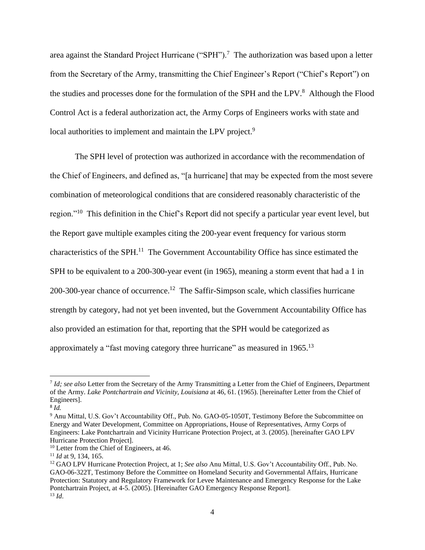area against the Standard Project Hurricane ("SPH").<sup>7</sup> The authorization was based upon a letter from the Secretary of the Army, transmitting the Chief Engineer's Report ("Chief's Report") on the studies and processes done for the formulation of the SPH and the LPV.<sup>8</sup> Although the Flood Control Act is a federal authorization act, the Army Corps of Engineers works with state and local authorities to implement and maintain the LPV project.<sup>9</sup>

The SPH level of protection was authorized in accordance with the recommendation of the Chief of Engineers, and defined as, "[a hurricane] that may be expected from the most severe combination of meteorological conditions that are considered reasonably characteristic of the region."<sup>10</sup> This definition in the Chief's Report did not specify a particular year event level, but the Report gave multiple examples citing the 200-year event frequency for various storm characteristics of the SPH.<sup>11</sup> The Government Accountability Office has since estimated the SPH to be equivalent to a 200-300-year event (in 1965), meaning a storm event that had a 1 in 200-300-year chance of occurrence.<sup>12</sup> The Saffir-Simpson scale, which classifies hurricane strength by category, had not yet been invented, but the Government Accountability Office has also provided an estimation for that, reporting that the SPH would be categorized as approximately a "fast moving category three hurricane" as measured in 1965.<sup>13</sup>

<sup>7</sup> *Id; see also* Letter from the Secretary of the Army Transmitting a Letter from the Chief of Engineers, Department of the Army. *Lake Pontchartrain and Vicinity, Louisiana* at 46, 61. (1965). [hereinafter Letter from the Chief of Engineers].

<sup>8</sup> *Id.*

<sup>&</sup>lt;sup>9</sup> Anu Mittal, U.S. Gov't Accountability Off., Pub. No. GAO-05-1050T, Testimony Before the Subcommittee on Energy and Water Development, Committee on Appropriations, House of Representatives, Army Corps of Engineers: Lake Pontchartrain and Vicinity Hurricane Protection Project, at 3. (2005). [hereinafter GAO LPV Hurricane Protection Project].

<sup>&</sup>lt;sup>10</sup> Letter from the Chief of Engineers, at 46.

<sup>11</sup> *Id* at 9, 134, 165.

<sup>12</sup> GAO LPV Hurricane Protection Project, at 1; *See also* Anu Mittal, U.S. Gov't Accountability Off., Pub. No. GAO-06-322T, Testimony Before the Committee on Homeland Security and Governmental Affairs, Hurricane Protection: Statutory and Regulatory Framework for Levee Maintenance and Emergency Response for the Lake Pontchartrain Project, at 4-5. (2005). [Hereinafter GAO Emergency Response Report]. <sup>13</sup> *Id*.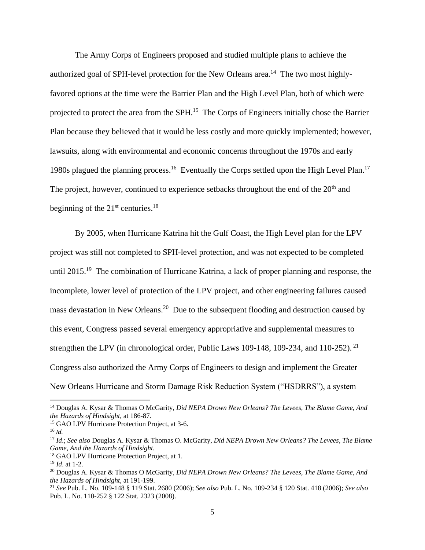The Army Corps of Engineers proposed and studied multiple plans to achieve the authorized goal of SPH-level protection for the New Orleans area.<sup>14</sup> The two most highlyfavored options at the time were the Barrier Plan and the High Level Plan, both of which were projected to protect the area from the SPH.<sup>15</sup> The Corps of Engineers initially chose the Barrier Plan because they believed that it would be less costly and more quickly implemented; however, lawsuits, along with environmental and economic concerns throughout the 1970s and early 1980s plagued the planning process.<sup>16</sup> Eventually the Corps settled upon the High Level Plan.<sup>17</sup> The project, however, continued to experience setbacks throughout the end of the  $20<sup>th</sup>$  and beginning of the  $21<sup>st</sup>$  centuries.<sup>18</sup>

By 2005, when Hurricane Katrina hit the Gulf Coast, the High Level plan for the LPV project was still not completed to SPH-level protection, and was not expected to be completed until 2015.<sup>19</sup> The combination of Hurricane Katrina, a lack of proper planning and response, the incomplete, lower level of protection of the LPV project, and other engineering failures caused mass devastation in New Orleans.<sup>20</sup> Due to the subsequent flooding and destruction caused by this event, Congress passed several emergency appropriative and supplemental measures to strengthen the LPV (in chronological order, Public Laws 109-148, 109-234, and 110-252).<sup>21</sup> Congress also authorized the Army Corps of Engineers to design and implement the Greater New Orleans Hurricane and Storm Damage Risk Reduction System ("HSDRRS"), a system

<sup>14</sup> Douglas A. Kysar & Thomas O McGarity, *Did NEPA Drown New Orleans? The Levees, The Blame Game, And the Hazards of Hindsight,* at 186-87.

<sup>&</sup>lt;sup>15</sup> GAO LPV Hurricane Protection Project, at 3-6.

<sup>16</sup> *Id.*

<sup>17</sup> *Id*.; *See also* Douglas A. Kysar & Thomas O. McGarity, *Did NEPA Drown New Orleans? The Levees, The Blame Game, And the Hazards of Hindsight*.

<sup>&</sup>lt;sup>18</sup> GAO LPV Hurricane Protection Project, at 1.

<sup>19</sup> *Id*. at 1-2.

<sup>20</sup> Douglas A. Kysar & Thomas O McGarity, *Did NEPA Drown New Orleans? The Levees, The Blame Game, And the Hazards of Hindsight,* at 191-199.

<sup>21</sup> *See* Pub. L. No. 109-148 § 119 Stat. 2680 (2006); *See also* Pub. L. No. 109-234 § 120 Stat. 418 (2006); *See also*  Pub. L. No. 110-252 § 122 Stat. 2323 (2008).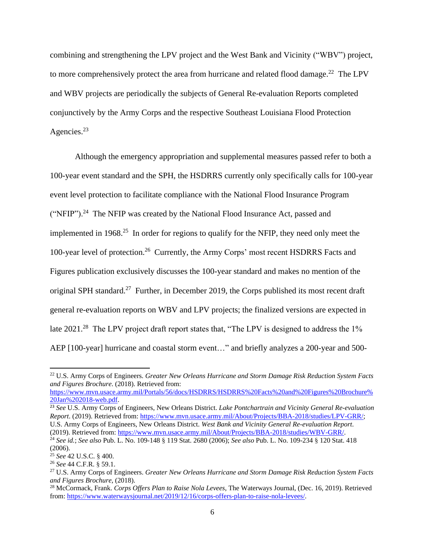combining and strengthening the LPV project and the West Bank and Vicinity ("WBV") project, to more comprehensively protect the area from hurricane and related flood damage.<sup>22</sup> The LPV and WBV projects are periodically the subjects of General Re-evaluation Reports completed conjunctively by the Army Corps and the respective Southeast Louisiana Flood Protection Agencies.<sup>23</sup>

Although the emergency appropriation and supplemental measures passed refer to both a 100-year event standard and the SPH, the HSDRRS currently only specifically calls for 100-year event level protection to facilitate compliance with the National Flood Insurance Program ("NFIP").<sup>24</sup> The NFIP was created by the National Flood Insurance Act, passed and implemented in 1968.<sup>25</sup> In order for regions to qualify for the NFIP, they need only meet the 100-year level of protection. 26 Currently, the Army Corps' most recent HSDRRS Facts and Figures publication exclusively discusses the 100-year standard and makes no mention of the original SPH standard.<sup>27</sup> Further, in December 2019, the Corps published its most recent draft general re-evaluation reports on WBV and LPV projects; the finalized versions are expected in late  $2021.^{28}$  The LPV project draft report states that, "The LPV is designed to address the 1% AEP [100-year] hurricane and coastal storm event…" and briefly analyzes a 200-year and 500-

<sup>22</sup> U.S. Army Corps of Engineers. *Greater New Orleans Hurricane and Storm Damage Risk Reduction System Facts and Figures Brochure*. (2018). Retrieved from:

[https://www.mvn.usace.army.mil/Portals/56/docs/HSDRRS/HSDRRS%20Facts%20and%20Figures%20Brochure%](https://www.mvn.usace.army.mil/Portals/56/docs/HSDRRS/HSDRRS%20Facts%20and%20Figures%20Brochure%20Jan%202018-web.pdf) [20Jan%202018-web.pdf.](https://www.mvn.usace.army.mil/Portals/56/docs/HSDRRS/HSDRRS%20Facts%20and%20Figures%20Brochure%20Jan%202018-web.pdf)

<sup>23</sup> *See* U.S. Army Corps of Engineers, New Orleans District. *Lake Pontchartrain and Vicinity General Re-evaluation Report*. (2019). Retrieved from: [https://www.mvn.usace.army.mil/About/Projects/BBA-2018/studies/LPV-GRR/;](https://www.mvn.usace.army.mil/About/Projects/BBA-2018/studies/LPV-GRR/) U.S. Army Corps of Engineers, New Orleans District. *West Bank and Vicinity General Re-evaluation Report*. (2019). Retrieved from: [https://www.mvn.usace.army.mil/About/Projects/BBA-2018/studies/WBV-GRR/.](https://www.mvn.usace.army.mil/About/Projects/BBA-2018/studies/WBV-GRR/)

<sup>24</sup> *See id.*; *See also* Pub. L. No. 109-148 § 119 Stat. 2680 (2006); *See also* Pub. L. No. 109-234 § 120 Stat. 418 (2006).

<sup>25</sup> *See* 42 U.S.C. § 400.

<sup>26</sup> *See* 44 C.F.R. § 59.1.

<sup>27</sup> U.S. Army Corps of Engineers. *Greater New Orleans Hurricane and Storm Damage Risk Reduction System Facts and Figures Brochure*, (2018).

<sup>28</sup> McCormack, Frank. *Corps Offers Plan to Raise Nola Levees*, The Waterways Journal, (Dec. 16, 2019). Retrieved from[: https://www.waterwaysjournal.net/2019/12/16/corps-offers-plan-to-raise-nola-levees/.](https://www.waterwaysjournal.net/2019/12/16/corps-offers-plan-to-raise-nola-levees/)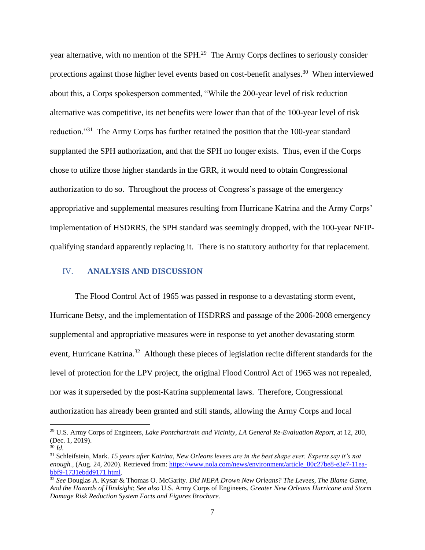year alternative, with no mention of the SPH.<sup>29</sup> The Army Corps declines to seriously consider protections against those higher level events based on cost-benefit analyses.<sup>30</sup> When interviewed about this, a Corps spokesperson commented, "While the 200-year level of risk reduction alternative was competitive, its net benefits were lower than that of the 100-year level of risk reduction."<sup>31</sup> The Army Corps has further retained the position that the 100-year standard supplanted the SPH authorization, and that the SPH no longer exists. Thus, even if the Corps chose to utilize those higher standards in the GRR, it would need to obtain Congressional authorization to do so. Throughout the process of Congress's passage of the emergency appropriative and supplemental measures resulting from Hurricane Katrina and the Army Corps' implementation of HSDRRS, the SPH standard was seemingly dropped, with the 100-year NFIPqualifying standard apparently replacing it. There is no statutory authority for that replacement.

### IV. **ANALYSIS AND DISCUSSION**

The Flood Control Act of 1965 was passed in response to a devastating storm event, Hurricane Betsy, and the implementation of HSDRRS and passage of the 2006-2008 emergency supplemental and appropriative measures were in response to yet another devastating storm event, Hurricane Katrina.<sup>32</sup> Although these pieces of legislation recite different standards for the level of protection for the LPV project, the original Flood Control Act of 1965 was not repealed, nor was it superseded by the post-Katrina supplemental laws. Therefore, Congressional authorization has already been granted and still stands, allowing the Army Corps and local

<sup>29</sup> U.S. Army Corps of Engineers, *Lake Pontchartrain and Vicinity, LA General Re-Evaluation Report*, at 12, 200, (Dec. 1, 2019).

<sup>30</sup> *Id*.

<sup>31</sup> Schleifstein, Mark. *15 years after Katrina, New Orleans levees are in the best shape ever. Experts say it's not enough.*, (Aug. 24, 2020). Retrieved from: [https://www.nola.com/news/environment/article\\_80c27be8-e3e7-11ea](https://www.nola.com/news/environment/article_80c27be8-e3e7-11ea-bbf9-1731ebdd9171.html)[bbf9-1731ebdd9171.html.](https://www.nola.com/news/environment/article_80c27be8-e3e7-11ea-bbf9-1731ebdd9171.html)

<sup>32</sup> *See* Douglas A. Kysar & Thomas O. McGarity. *Did NEPA Drown New Orleans? The Levees, The Blame Game, And the Hazards of Hindsight*; *See also* U.S. Army Corps of Engineers. *Greater New Orleans Hurricane and Storm Damage Risk Reduction System Facts and Figures Brochure.*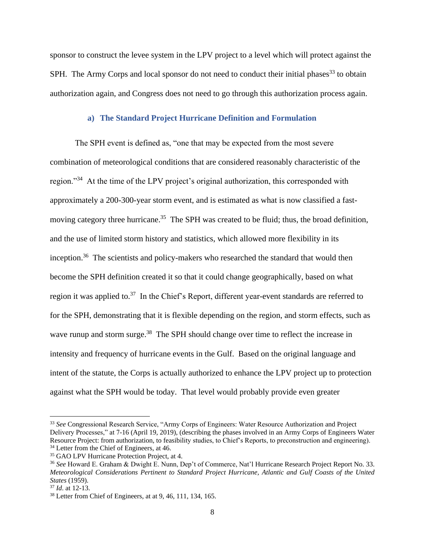sponsor to construct the levee system in the LPV project to a level which will protect against the SPH. The Army Corps and local sponsor do not need to conduct their initial phases<sup>33</sup> to obtain authorization again, and Congress does not need to go through this authorization process again.

#### **a) The Standard Project Hurricane Definition and Formulation**

The SPH event is defined as, "one that may be expected from the most severe combination of meteorological conditions that are considered reasonably characteristic of the region."<sup>34</sup> At the time of the LPV project's original authorization, this corresponded with approximately a 200-300-year storm event, and is estimated as what is now classified a fastmoving category three hurricane.<sup>35</sup> The SPH was created to be fluid; thus, the broad definition, and the use of limited storm history and statistics, which allowed more flexibility in its inception.<sup>36</sup> The scientists and policy-makers who researched the standard that would then become the SPH definition created it so that it could change geographically, based on what region it was applied to.<sup>37</sup> In the Chief's Report, different year-event standards are referred to for the SPH, demonstrating that it is flexible depending on the region, and storm effects, such as wave runup and storm surge.<sup>38</sup> The SPH should change over time to reflect the increase in intensity and frequency of hurricane events in the Gulf. Based on the original language and intent of the statute, the Corps is actually authorized to enhance the LPV project up to protection against what the SPH would be today. That level would probably provide even greater

<sup>&</sup>lt;sup>33</sup> See Congressional Research Service, "Army Corps of Engineers: Water Resource Authorization and Project Delivery Processes," at 7-16 (April 19, 2019), (describing the phases involved in an Army Corps of Engineers Water Resource Project: from authorization, to feasibility studies, to Chief's Reports, to preconstruction and engineering). <sup>34</sup> Letter from the Chief of Engineers, at 46.

<sup>35</sup> GAO LPV Hurricane Protection Project, at 4.

<sup>36</sup> *See* Howard E. Graham & Dwight E. Nunn, Dep't of Commerce, Nat'l Hurricane Research Project Report No. 33. *Meteorological Considerations Pertinent to Standard Project Hurricane, Atlantic and Gulf Coasts of the United States* (1959).

<sup>37</sup> *Id*. at 12-13.

<sup>38</sup> Letter from Chief of Engineers, at at 9, 46, 111, 134, 165.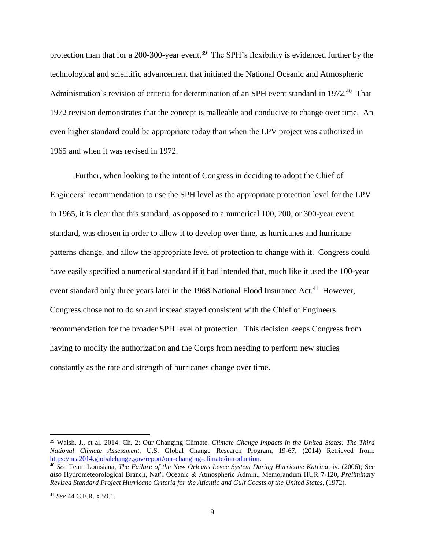protection than that for a 200-300-year event.<sup>39</sup> The SPH's flexibility is evidenced further by the technological and scientific advancement that initiated the National Oceanic and Atmospheric Administration's revision of criteria for determination of an SPH event standard in 1972.<sup>40</sup> That 1972 revision demonstrates that the concept is malleable and conducive to change over time. An even higher standard could be appropriate today than when the LPV project was authorized in 1965 and when it was revised in 1972.

Further, when looking to the intent of Congress in deciding to adopt the Chief of Engineers' recommendation to use the SPH level as the appropriate protection level for the LPV in 1965, it is clear that this standard, as opposed to a numerical 100, 200, or 300-year event standard, was chosen in order to allow it to develop over time, as hurricanes and hurricane patterns change, and allow the appropriate level of protection to change with it. Congress could have easily specified a numerical standard if it had intended that, much like it used the 100-year event standard only three years later in the 1968 National Flood Insurance Act.<sup>41</sup> However, Congress chose not to do so and instead stayed consistent with the Chief of Engineers recommendation for the broader SPH level of protection. This decision keeps Congress from having to modify the authorization and the Corps from needing to perform new studies constantly as the rate and strength of hurricanes change over time.

<sup>39</sup> Walsh, J., et al. 2014: Ch. 2: Our Changing Climate*. Climate Change Impacts in the United States: The Third National Climate Assessment*, U.S. Global Change Research Program, 19-67, (2014) Retrieved from: [https://nca2014.globalchange.gov/report/our-changing-climate/introduction.](https://nca2014.globalchange.gov/report/our-changing-climate/introduction)

<sup>40</sup> *See* Team Louisiana, *The Failure of the New Orleans Levee System During Hurricane Katrina*, iv. (2006); S*ee also* Hydrometeorological Branch, Nat'l Oceanic & Atmospheric Admin., Memorandum HUR 7-120, *Preliminary Revised Standard Project Hurricane Criteria for the Atlantic and Gulf Coasts of the United States*, (1972).

<sup>41</sup> *See* 44 C.F.R. § 59.1.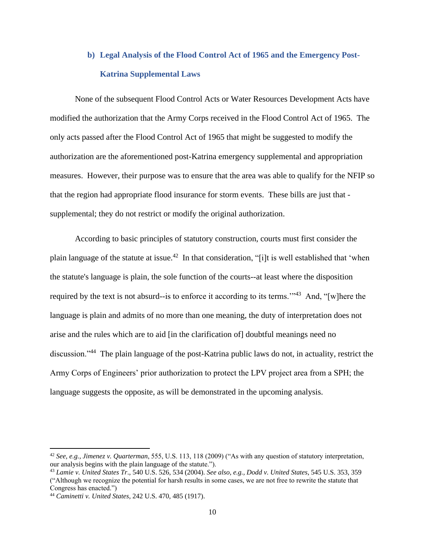# **b) Legal Analysis of the Flood Control Act of 1965 and the Emergency Post-Katrina Supplemental Laws**

None of the subsequent Flood Control Acts or Water Resources Development Acts have modified the authorization that the Army Corps received in the Flood Control Act of 1965. The only acts passed after the Flood Control Act of 1965 that might be suggested to modify the authorization are the aforementioned post-Katrina emergency supplemental and appropriation measures. However, their purpose was to ensure that the area was able to qualify for the NFIP so that the region had appropriate flood insurance for storm events. These bills are just that supplemental; they do not restrict or modify the original authorization.

According to basic principles of statutory construction, courts must first consider the plain language of the statute at issue.<sup>42</sup> In that consideration, "[i]t is well established that 'when the statute's language is plain, the sole function of the courts--at least where the disposition required by the text is not absurd--is to enforce it according to its terms."<sup>43</sup> And, "[w]here the language is plain and admits of no more than one meaning, the duty of interpretation does not arise and the rules which are to aid [in the clarification of] doubtful meanings need no discussion."<sup>44</sup> The plain language of the post-Katrina public laws do not, in actuality, restrict the Army Corps of Engineers' prior authorization to protect the LPV project area from a SPH; the language suggests the opposite, as will be demonstrated in the upcoming analysis.

<sup>42</sup> *See, e.g., Jimenez v. Quarterman*, 555, U.S. 113, 118 (2009) ("As with any question of statutory interpretation, our analysis begins with the plain language of the statute.").

<sup>43</sup> *Lamie v. United States Tr*., 540 U.S. 526, 534 (2004). *See also, e.g., Dodd v. United States*, 545 U.S. 353, 359 ("Although we recognize the potential for harsh results in some cases, we are not free to rewrite the statute that Congress has enacted.")

<sup>44</sup> *Caminetti v. United States*, 242 U.S. 470, 485 (1917).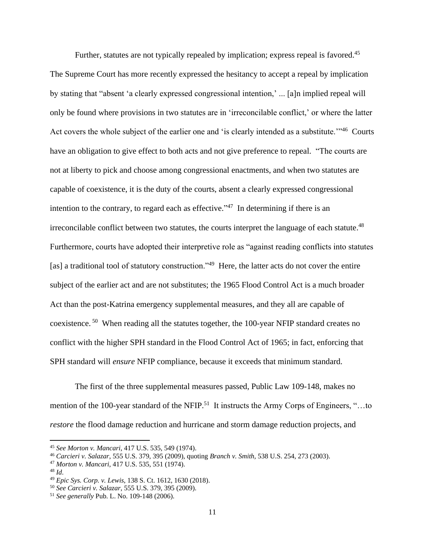Further, statutes are not typically repealed by implication; express repeal is favored.<sup>45</sup> The Supreme Court has more recently expressed the hesitancy to accept a repeal by implication by stating that "absent 'a clearly expressed congressional intention,' ... [a]n implied repeal will only be found where provisions in two statutes are in 'irreconcilable conflict,' or where the latter Act covers the whole subject of the earlier one and 'is clearly intended as a substitute."<sup>46</sup> Courts have an obligation to give effect to both acts and not give preference to repeal. "The courts are not at liberty to pick and choose among congressional enactments, and when two statutes are capable of coexistence, it is the duty of the courts, absent a clearly expressed congressional intention to the contrary, to regard each as effective."<sup> $47$ </sup> In determining if there is an irreconcilable conflict between two statutes, the courts interpret the language of each statute.<sup>48</sup> Furthermore, courts have adopted their interpretive role as "against reading conflicts into statutes [as] a traditional tool of statutory construction."<sup>49</sup> Here, the latter acts do not cover the entire subject of the earlier act and are not substitutes; the 1965 Flood Control Act is a much broader Act than the post-Katrina emergency supplemental measures, and they all are capable of coexistence.<sup>50</sup> When reading all the statutes together, the 100-year NFIP standard creates no conflict with the higher SPH standard in the Flood Control Act of 1965; in fact, enforcing that SPH standard will *ensure* NFIP compliance, because it exceeds that minimum standard.

The first of the three supplemental measures passed, Public Law 109-148, makes no mention of the 100-year standard of the NFIP.<sup>51</sup> It instructs the Army Corps of Engineers, "...to *restore* the flood damage reduction and hurricane and storm damage reduction projects, and

<sup>45</sup> *See Morton v. Mancari*, 417 U.S. 535, 549 (1974).

<sup>46</sup> *Carcieri v. Salazar*, 555 U.S. 379, 395 (2009), quoting *Branch v. Smith,* 538 U.S. 254, 273 (2003).

<sup>47</sup> *Morton v. Mancari*, 417 U.S. 535, 551 (1974).

<sup>48</sup> *Id*.

<sup>49</sup> *Epic Sys. Corp. v. Lewis*, 138 S. Ct. 1612, 1630 (2018).

<sup>50</sup> *See Carcieri v. Salazar*, 555 U.S. 379, 395 (2009).

<sup>51</sup> *See generally* Pub. L. No. 109-148 (2006).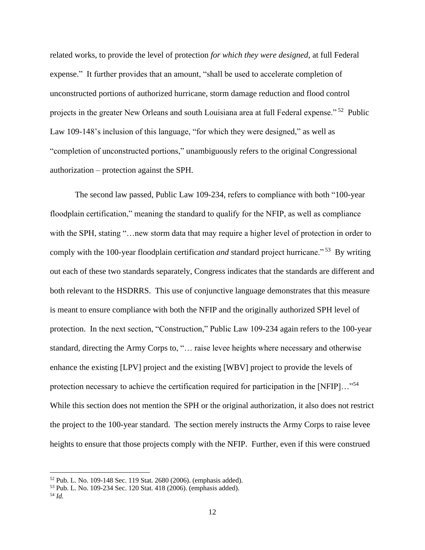related works, to provide the level of protection *for which they were designed*, at full Federal expense." It further provides that an amount, "shall be used to accelerate completion of unconstructed portions of authorized hurricane, storm damage reduction and flood control projects in the greater New Orleans and south Louisiana area at full Federal expense."<sup>52</sup> Public Law 109-148's inclusion of this language, "for which they were designed," as well as "completion of unconstructed portions," unambiguously refers to the original Congressional authorization – protection against the SPH.

The second law passed, Public Law 109-234, refers to compliance with both "100-year floodplain certification," meaning the standard to qualify for the NFIP, as well as compliance with the SPH, stating "…new storm data that may require a higher level of protection in order to comply with the 100-year floodplain certification *and* standard project hurricane." <sup>53</sup> By writing out each of these two standards separately, Congress indicates that the standards are different and both relevant to the HSDRRS. This use of conjunctive language demonstrates that this measure is meant to ensure compliance with both the NFIP and the originally authorized SPH level of protection. In the next section, "Construction," Public Law 109-234 again refers to the 100-year standard, directing the Army Corps to, "… raise levee heights where necessary and otherwise enhance the existing [LPV] project and the existing [WBV] project to provide the levels of protection necessary to achieve the certification required for participation in the [NFIP]..."<sup>54</sup> While this section does not mention the SPH or the original authorization, it also does not restrict the project to the 100-year standard. The section merely instructs the Army Corps to raise levee heights to ensure that those projects comply with the NFIP. Further, even if this were construed

<sup>52</sup> Pub. L. No. 109-148 Sec. 119 Stat. 2680 (2006). (emphasis added).

<sup>53</sup> Pub. L. No. 109-234 Sec. 120 Stat. 418 (2006). (emphasis added).

<sup>54</sup> *Id.*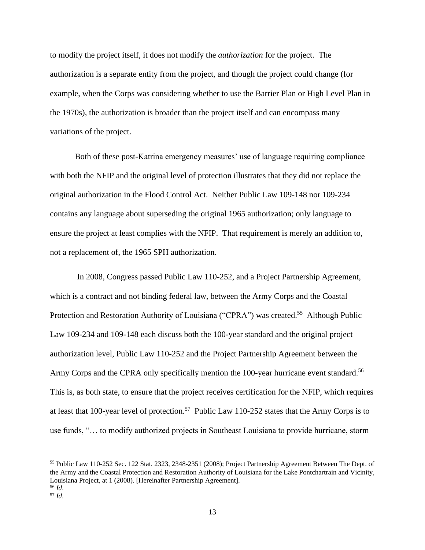to modify the project itself, it does not modify the *authorization* for the project. The authorization is a separate entity from the project, and though the project could change (for example, when the Corps was considering whether to use the Barrier Plan or High Level Plan in the 1970s), the authorization is broader than the project itself and can encompass many variations of the project.

Both of these post-Katrina emergency measures' use of language requiring compliance with both the NFIP and the original level of protection illustrates that they did not replace the original authorization in the Flood Control Act. Neither Public Law 109-148 nor 109-234 contains any language about superseding the original 1965 authorization; only language to ensure the project at least complies with the NFIP. That requirement is merely an addition to, not a replacement of, the 1965 SPH authorization.

In 2008, Congress passed Public Law 110-252, and a Project Partnership Agreement, which is a contract and not binding federal law, between the Army Corps and the Coastal Protection and Restoration Authority of Louisiana ("CPRA") was created.<sup>55</sup> Although Public Law 109-234 and 109-148 each discuss both the 100-year standard and the original project authorization level, Public Law 110-252 and the Project Partnership Agreement between the Army Corps and the CPRA only specifically mention the 100-year hurricane event standard.<sup>56</sup> This is, as both state, to ensure that the project receives certification for the NFIP, which requires at least that 100-year level of protection.<sup>57</sup> Public Law 110-252 states that the Army Corps is to use funds, "… to modify authorized projects in Southeast Louisiana to provide hurricane, storm

<sup>55</sup> Public Law 110-252 Sec. 122 Stat. 2323, 2348-2351 (2008); Project Partnership Agreement Between The Dept. of the Army and the Coastal Protection and Restoration Authority of Louisiana for the Lake Pontchartrain and Vicinity, Louisiana Project, at 1 (2008). [Hereinafter Partnership Agreement]. <sup>56</sup> *Id*.

<sup>57</sup> *Id*.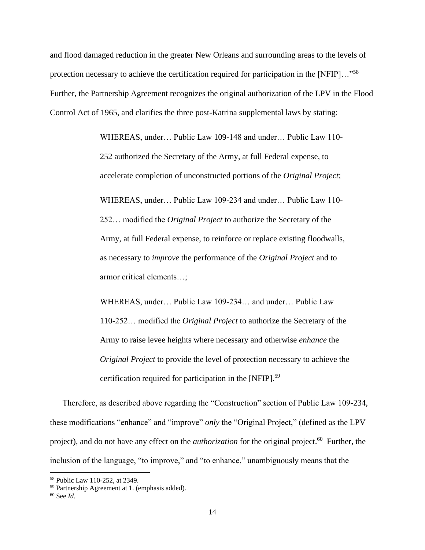and flood damaged reduction in the greater New Orleans and surrounding areas to the levels of protection necessary to achieve the certification required for participation in the [NFIP]..."<sup>58</sup> Further, the Partnership Agreement recognizes the original authorization of the LPV in the Flood Control Act of 1965, and clarifies the three post-Katrina supplemental laws by stating:

> WHEREAS, under… Public Law 109-148 and under… Public Law 110- 252 authorized the Secretary of the Army, at full Federal expense, to accelerate completion of unconstructed portions of the *Original Project*; WHEREAS, under… Public Law 109-234 and under… Public Law 110- 252… modified the *Original Project* to authorize the Secretary of the Army, at full Federal expense, to reinforce or replace existing floodwalls, as necessary to *improve* the performance of the *Original Project* and to armor critical elements…;

WHEREAS, under… Public Law 109-234… and under… Public Law 110-252… modified the *Original Project* to authorize the Secretary of the Army to raise levee heights where necessary and otherwise *enhance* the *Original Project* to provide the level of protection necessary to achieve the certification required for participation in the [NFIP].<sup>59</sup>

Therefore, as described above regarding the "Construction" section of Public Law 109-234, these modifications "enhance" and "improve" *only* the "Original Project," (defined as the LPV project), and do not have any effect on the *authorization* for the original project.<sup>60</sup> Further, the inclusion of the language, "to improve," and "to enhance," unambiguously means that the

<sup>58</sup> Public Law 110-252, at 2349.

<sup>59</sup> Partnership Agreement at 1. (emphasis added).

<sup>60</sup> See *Id*.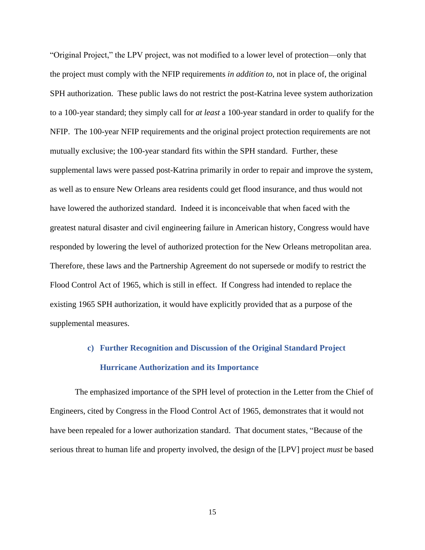"Original Project," the LPV project, was not modified to a lower level of protection—only that the project must comply with the NFIP requirements *in addition to*, not in place of, the original SPH authorization. These public laws do not restrict the post-Katrina levee system authorization to a 100-year standard; they simply call for *at least* a 100-year standard in order to qualify for the NFIP. The 100-year NFIP requirements and the original project protection requirements are not mutually exclusive; the 100-year standard fits within the SPH standard. Further, these supplemental laws were passed post-Katrina primarily in order to repair and improve the system, as well as to ensure New Orleans area residents could get flood insurance, and thus would not have lowered the authorized standard. Indeed it is inconceivable that when faced with the greatest natural disaster and civil engineering failure in American history, Congress would have responded by lowering the level of authorized protection for the New Orleans metropolitan area. Therefore, these laws and the Partnership Agreement do not supersede or modify to restrict the Flood Control Act of 1965, which is still in effect. If Congress had intended to replace the existing 1965 SPH authorization, it would have explicitly provided that as a purpose of the supplemental measures.

# **c) Further Recognition and Discussion of the Original Standard Project Hurricane Authorization and its Importance**

The emphasized importance of the SPH level of protection in the Letter from the Chief of Engineers, cited by Congress in the Flood Control Act of 1965, demonstrates that it would not have been repealed for a lower authorization standard. That document states, "Because of the serious threat to human life and property involved, the design of the [LPV] project *must* be based

15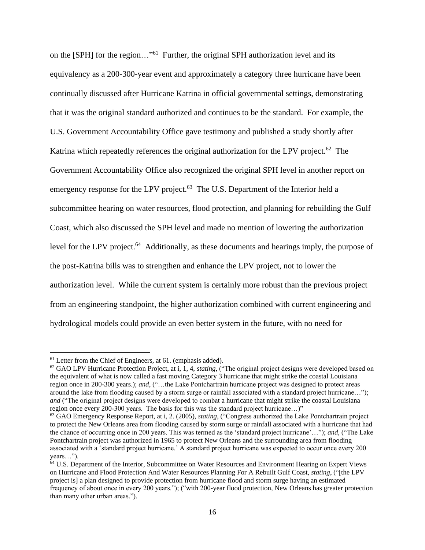on the [SPH] for the region..."<sup>61</sup> Further, the original SPH authorization level and its equivalency as a 200-300-year event and approximately a category three hurricane have been continually discussed after Hurricane Katrina in official governmental settings, demonstrating that it was the original standard authorized and continues to be the standard. For example, the U.S. Government Accountability Office gave testimony and published a study shortly after Katrina which repeatedly references the original authorization for the LPV project.<sup>62</sup> The Government Accountability Office also recognized the original SPH level in another report on emergency response for the LPV project. $63$  The U.S. Department of the Interior held a subcommittee hearing on water resources, flood protection, and planning for rebuilding the Gulf Coast, which also discussed the SPH level and made no mention of lowering the authorization level for the LPV project.<sup>64</sup> Additionally, as these documents and hearings imply, the purpose of the post-Katrina bills was to strengthen and enhance the LPV project, not to lower the authorization level. While the current system is certainly more robust than the previous project from an engineering standpoint, the higher authorization combined with current engineering and hydrological models could provide an even better system in the future, with no need for

<sup>&</sup>lt;sup>61</sup> Letter from the Chief of Engineers, at 61. (emphasis added).

<sup>62</sup> GAO LPV Hurricane Protection Project, at i, 1, 4, *stating*, ("The original project designs were developed based on the equivalent of what is now called a fast moving Category 3 hurricane that might strike the coastal Louisiana region once in 200-300 years.); *and*, ("…the Lake Pontchartrain hurricane project was designed to protect areas around the lake from flooding caused by a storm surge or rainfall associated with a standard project hurricane…"); *and* ("The original project designs were developed to combat a hurricane that might strike the coastal Louisiana region once every 200-300 years. The basis for this was the standard project hurricane…)"

<sup>63</sup> GAO Emergency Response Report, at i, 2. (2005), *stating*, ("Congress authorized the Lake Pontchartrain project to protect the New Orleans area from flooding caused by storm surge or rainfall associated with a hurricane that had the chance of occurring once in 200 years. This was termed as the 'standard project hurricane'…"); *and*, ("The Lake Pontchartrain project was authorized in 1965 to protect New Orleans and the surrounding area from flooding associated with a 'standard project hurricane.' A standard project hurricane was expected to occur once every 200 years…").

<sup>&</sup>lt;sup>64</sup> U.S. Department of the Interior, Subcommittee on Water Resources and Environment Hearing on Expert Views on Hurricane and Flood Protection And Water Resources Planning For A Rebuilt Gulf Coast, *stating*, ("[the LPV project is] a plan designed to provide protection from hurricane flood and storm surge having an estimated frequency of about once in every 200 years."); ("with 200-year flood protection, New Orleans has greater protection than many other urban areas.").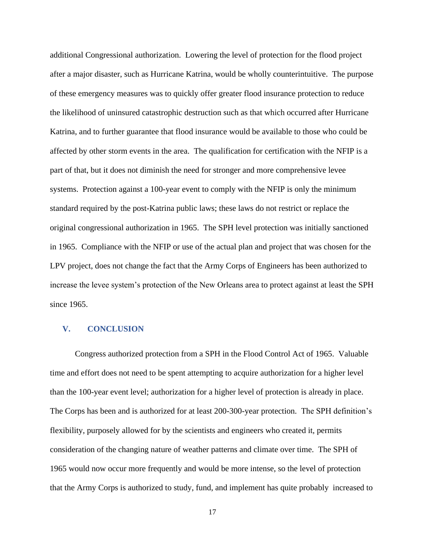additional Congressional authorization. Lowering the level of protection for the flood project after a major disaster, such as Hurricane Katrina, would be wholly counterintuitive. The purpose of these emergency measures was to quickly offer greater flood insurance protection to reduce the likelihood of uninsured catastrophic destruction such as that which occurred after Hurricane Katrina, and to further guarantee that flood insurance would be available to those who could be affected by other storm events in the area. The qualification for certification with the NFIP is a part of that, but it does not diminish the need for stronger and more comprehensive levee systems. Protection against a 100-year event to comply with the NFIP is only the minimum standard required by the post-Katrina public laws; these laws do not restrict or replace the original congressional authorization in 1965. The SPH level protection was initially sanctioned in 1965. Compliance with the NFIP or use of the actual plan and project that was chosen for the LPV project, does not change the fact that the Army Corps of Engineers has been authorized to increase the levee system's protection of the New Orleans area to protect against at least the SPH since 1965.

#### **V. CONCLUSION**

Congress authorized protection from a SPH in the Flood Control Act of 1965. Valuable time and effort does not need to be spent attempting to acquire authorization for a higher level than the 100-year event level; authorization for a higher level of protection is already in place. The Corps has been and is authorized for at least 200-300-year protection. The SPH definition's flexibility, purposely allowed for by the scientists and engineers who created it, permits consideration of the changing nature of weather patterns and climate over time. The SPH of 1965 would now occur more frequently and would be more intense, so the level of protection that the Army Corps is authorized to study, fund, and implement has quite probably increased to

17